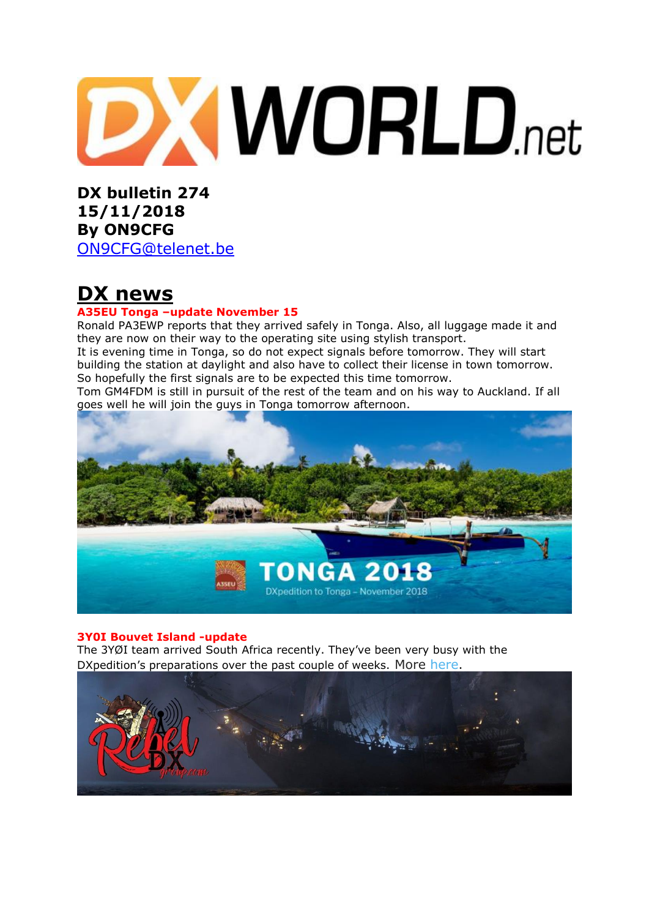# **DXWORLD**.net

**DX bulletin 274 15/11/2018 By ON9CFG**  [ON9CFG@telenet.be](mailto:ON9CFG@telenet.be)

**DX news**

### **A35EU Tonga –update November 15**

Ronald PA3EWP reports that they arrived safely in Tonga. Also, all luggage made it and they are now on their way to the operating site using stylish transport. It is evening time in Tonga, so do not expect signals before tomorrow. They will start building the station at daylight and also have to collect their license in town tomorrow. So hopefully the first signals are to be expected this time tomorrow.

Tom GM4FDM is still in pursuit of the rest of the team and on his way to Auckland. If all goes well he will join the guys in Tonga tomorrow afternoon.



### **3Y0I Bouvet Island -update**

The 3YØI team arrived South Africa recently. They've been very busy with the DXpedition's preparations over the past couple of weeks. More [here.](https://bouvetoya.org/3yoi-team-in-cape-town/)

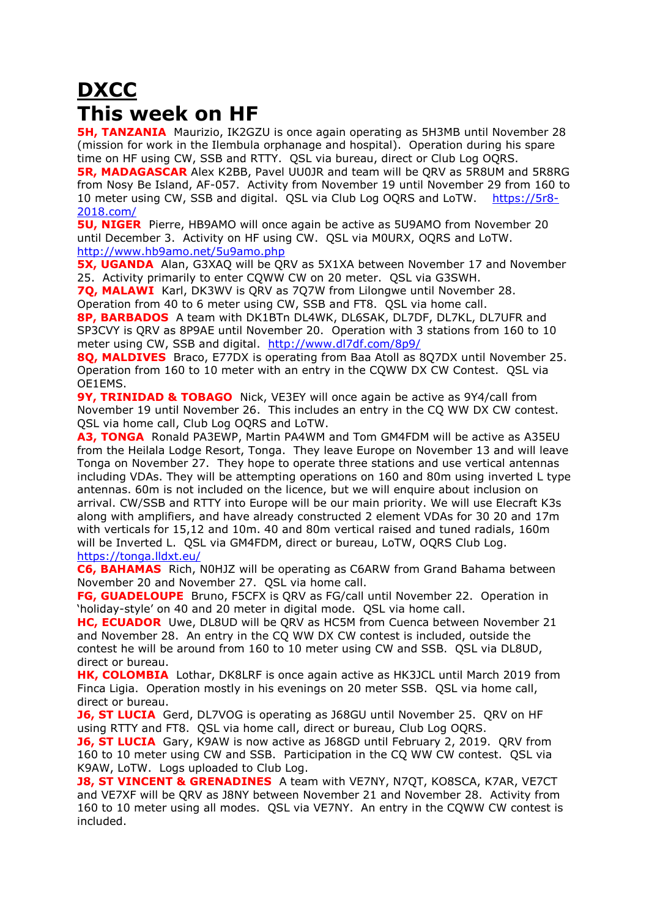# **DXCC This week on HF**

**5H, TANZANIA** Maurizio, IK2GZU is once again operating as 5H3MB until November 28 (mission for work in the Ilembula orphanage and hospital). Operation during his spare time on HF using CW, SSB and RTTY. QSL via bureau, direct or Club Log OQRS.

**5R, MADAGASCAR** Alex K2BB, Pavel UU0JR and team will be QRV as 5R8UM and 5R8RG from Nosy Be Island, AF-057. Activity from November 19 until November 29 from 160 to 10 meter using CW, SSB and digital. QSL via Club Log OQRS and LoTW. [https://5r8-](https://5r8-2018.com/) [2018.com/](https://5r8-2018.com/)

**5U, NIGER** Pierre, HB9AMO will once again be active as 5U9AMO from November 20 until December 3. Activity on HF using CW. QSL via M0URX, OQRS and LoTW. <http://www.hb9amo.net/5u9amo.php>

**5X, UGANDA** Alan, G3XAQ will be QRV as 5X1XA between November 17 and November 25. Activity primarily to enter CQWW CW on 20 meter. QSL via G3SWH.

**7Q, MALAWI** Karl, DK3WV is QRV as 7Q7W from Lilongwe until November 28. Operation from 40 to 6 meter using CW, SSB and FT8. QSL via home call.

**8P, BARBADOS** A team with DK1BTn DL4WK, DL6SAK, DL7DF, DL7KL, DL7UFR and SP3CVY is QRV as 8P9AE until November 20. Operation with 3 stations from 160 to 10 meter using CW, SSB and digital. <http://www.dl7df.com/8p9/>

**8Q, MALDIVES** Braco, E77DX is operating from Baa Atoll as 8Q7DX until November 25. Operation from 160 to 10 meter with an entry in the CQWW DX CW Contest. QSL via OE1EMS.

**9Y, TRINIDAD & TOBAGO** Nick, VE3EY will once again be active as 9Y4/call from November 19 until November 26. This includes an entry in the CQ WW DX CW contest. QSL via home call, Club Log OQRS and LoTW.

**A3, TONGA** Ronald PA3EWP, Martin PA4WM and Tom GM4FDM will be active as A35EU from the Heilala Lodge Resort, Tonga. They leave Europe on November 13 and will leave Tonga on November 27. They hope to operate three stations and use vertical antennas including VDAs. They will be attempting operations on 160 and 80m using inverted L type antennas. 60m is not included on the licence, but we will enquire about inclusion on arrival. CW/SSB and RTTY into Europe will be our main priority. We will use Elecraft K3s along with amplifiers, and have already constructed 2 element VDAs for 30 20 and 17m with verticals for 15,12 and 10m. 40 and 80m vertical raised and tuned radials, 160m will be Inverted L. QSL via GM4FDM, direct or bureau, LoTW, OQRS Club Log. <https://tonga.lldxt.eu/>

**C6, BAHAMAS** Rich, N0HJZ will be operating as C6ARW from Grand Bahama between November 20 and November 27. QSL via home call.

**FG, GUADELOUPE** Bruno, F5CFX is QRV as FG/call until November 22. Operation in 'holiday-style' on 40 and 20 meter in digital mode. QSL via home call.

**HC, ECUADOR** Uwe, DL8UD will be QRV as HC5M from Cuenca between November 21 and November 28. An entry in the CQ WW DX CW contest is included, outside the contest he will be around from 160 to 10 meter using CW and SSB. QSL via DL8UD, direct or bureau.

**HK, COLOMBIA** Lothar, DK8LRF is once again active as HK3JCL until March 2019 from Finca Ligia. Operation mostly in his evenings on 20 meter SSB. QSL via home call, direct or bureau.

**J6, ST LUCIA** Gerd, DL7VOG is operating as J68GU until November 25. QRV on HF using RTTY and FT8. QSL via home call, direct or bureau, Club Log OQRS.

**J6, ST LUCIA** Gary, K9AW is now active as J68GD until February 2, 2019. QRV from 160 to 10 meter using CW and SSB. Participation in the CQ WW CW contest. QSL via K9AW, LoTW. Logs uploaded to Club Log.

**J8, ST VINCENT & GRENADINES** A team with VE7NY, N7QT, KO8SCA, K7AR, VE7CT and VE7XF will be QRV as J8NY between November 21 and November 28. Activity from 160 to 10 meter using all modes. QSL via VE7NY. An entry in the CQWW CW contest is included.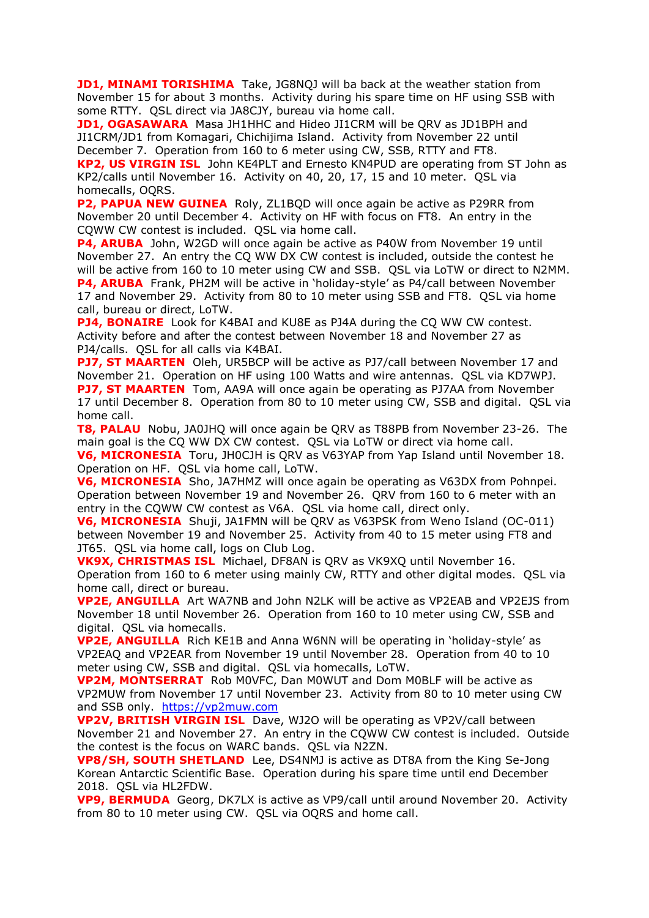**JD1, MINAMI TORISHIMA** Take, JG8NQJ will ba back at the weather station from November 15 for about 3 months. Activity during his spare time on HF using SSB with some RTTY. QSL direct via JA8CJY, bureau via home call.

**JD1, OGASAWARA** Masa JH1HHC and Hideo JI1CRM will be QRV as JD1BPH and JI1CRM/JD1 from Komagari, Chichijima Island. Activity from November 22 until December 7. Operation from 160 to 6 meter using CW, SSB, RTTY and FT8.

**KP2, US VIRGIN ISL** John KE4PLT and Ernesto KN4PUD are operating from ST John as KP2/calls until November 16. Activity on 40, 20, 17, 15 and 10 meter. QSL via homecalls, OQRS.

**P2, PAPUA NEW GUINEA** Roly, ZL1BQD will once again be active as P29RR from November 20 until December 4. Activity on HF with focus on FT8. An entry in the CQWW CW contest is included. QSL via home call.

**P4, ARUBA** John, W2GD will once again be active as P40W from November 19 until November 27. An entry the CQ WW DX CW contest is included, outside the contest he will be active from 160 to 10 meter using CW and SSB. QSL via LoTW or direct to N2MM. **P4, ARUBA** Frank, PH2M will be active in 'holiday-style' as P4/call between November 17 and November 29. Activity from 80 to 10 meter using SSB and FT8. QSL via home call, bureau or direct, LoTW.

**PJ4, BONAIRE** Look for K4BAI and KU8E as PJ4A during the CQ WW CW contest. Activity before and after the contest between November 18 and November 27 as PJ4/calls. QSL for all calls via K4BAI.

**PJ7, ST MAARTEN** Oleh, UR5BCP will be active as PJ7/call between November 17 and November 21. Operation on HF using 100 Watts and wire antennas. QSL via KD7WPJ. **PJ7, ST MAARTEN** Tom, AA9A will once again be operating as PJ7AA from November 17 until December 8. Operation from 80 to 10 meter using CW, SSB and digital. QSL via home call.

**T8, PALAU** Nobu, JA0JHQ will once again be QRV as T88PB from November 23-26. The main goal is the CQ WW DX CW contest. QSL via LoTW or direct via home call.

**V6, MICRONESIA** Toru, JH0CJH is QRV as V63YAP from Yap Island until November 18. Operation on HF. QSL via home call, LoTW.

**V6, MICRONESIA** Sho, JA7HMZ will once again be operating as V63DX from Pohnpei. Operation between November 19 and November 26. QRV from 160 to 6 meter with an entry in the CQWW CW contest as V6A. QSL via home call, direct only.

**V6, MICRONESIA** Shuji, JA1FMN will be QRV as V63PSK from Weno Island (OC-011) between November 19 and November 25. Activity from 40 to 15 meter using FT8 and JT65. QSL via home call, logs on Club Log.

**VK9X, CHRISTMAS ISL** Michael, DF8AN is QRV as VK9XQ until November 16. Operation from 160 to 6 meter using mainly CW, RTTY and other digital modes. QSL via home call, direct or bureau.

**VP2E, ANGUILLA** Art WA7NB and John N2LK will be active as VP2EAB and VP2EJS from November 18 until November 26. Operation from 160 to 10 meter using CW, SSB and digital. QSL via homecalls.

**VP2E, ANGUILLA** Rich KE1B and Anna W6NN will be operating in 'holiday-style' as VP2EAQ and VP2EAR from November 19 until November 28. Operation from 40 to 10 meter using CW, SSB and digital. QSL via homecalls, LoTW.

**VP2M, MONTSERRAT** Rob M0VFC, Dan M0WUT and Dom M0BLF will be active as VP2MUW from November 17 until November 23. Activity from 80 to 10 meter using CW and SSB only. [https://vp2muw.com](https://vp2muw.com/)

**VP2V, BRITISH VIRGIN ISL** Dave, WJ2O will be operating as VP2V/call between November 21 and November 27. An entry in the CQWW CW contest is included. Outside the contest is the focus on WARC bands. QSL via N2ZN.

**VP8/SH, SOUTH SHETLAND** Lee, DS4NMJ is active as DT8A from the King Se-Jong Korean Antarctic Scientific Base. Operation during his spare time until end December 2018. QSL via HL2FDW.

**VP9, BERMUDA** Georg, DK7LX is active as VP9/call until around November 20. Activity from 80 to 10 meter using CW. QSL via OQRS and home call.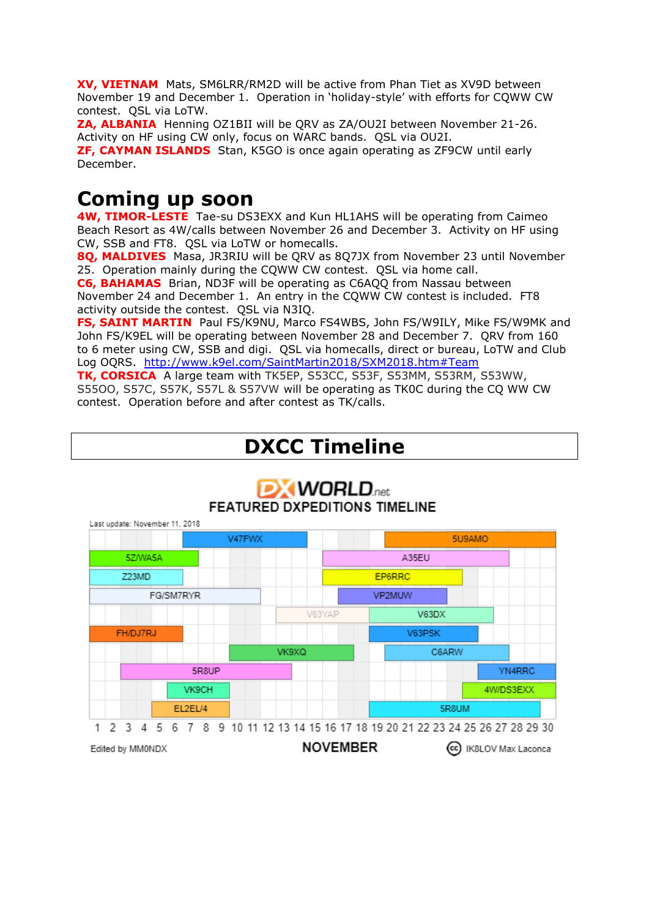**XV, VIETNAM** Mats, SM6LRR/RM2D will be active from Phan Tiet as XV9D between November 19 and December 1. Operation in 'holiday-style' with efforts for CQWW CW contest. QSL via LoTW.

**ZA, ALBANIA** Henning OZ1BII will be QRV as ZA/OU2I between November 21-26. Activity on HF using CW only, focus on WARC bands. QSL via OU2I.

**ZF, CAYMAN ISLANDS** Stan, K5GO is once again operating as ZF9CW until early December.

# **Coming up soon**

**4W, TIMOR-LESTE** Tae-su DS3EXX and Kun HL1AHS will be operating from Caimeo Beach Resort as 4W/calls between November 26 and December 3. Activity on HF using CW, SSB and FT8. QSL via LoTW or homecalls.

**8Q, MALDIVES** Masa, JR3RIU will be QRV as 8Q7JX from November 23 until November 25. Operation mainly during the CQWW CW contest. QSL via home call.

**C6, BAHAMAS** Brian, ND3F will be operating as C6AQQ from Nassau between November 24 and December 1. An entry in the CQWW CW contest is included. FT8 activity outside the contest. QSL via N3IQ.

**FS, SAINT MARTIN** Paul FS/K9NU, Marco FS4WBS, John FS/W9ILY, Mike FS/W9MK and John FS/K9EL will be operating between November 28 and December 7. QRV from 160 to 6 meter using CW, SSB and digi. QSL via homecalls, direct or bureau, LoTW and Club Log OQRS. <http://www.k9el.com/SaintMartin2018/SXM2018.htm#Team>

**TK, CORSICA** A large team with TK5EP, S53CC, S53F, S53MM, S53RM, S53WW, S55OO, S57C, S57K, S57L & S57VW will be operating as TK0C during the CQ WW CW contest. Operation before and after contest as TK/calls.

# **DXCC Timeline**



# **DXWORLD**<sub>net</sub> **FEATURED DXPEDITIONS TIMELINE**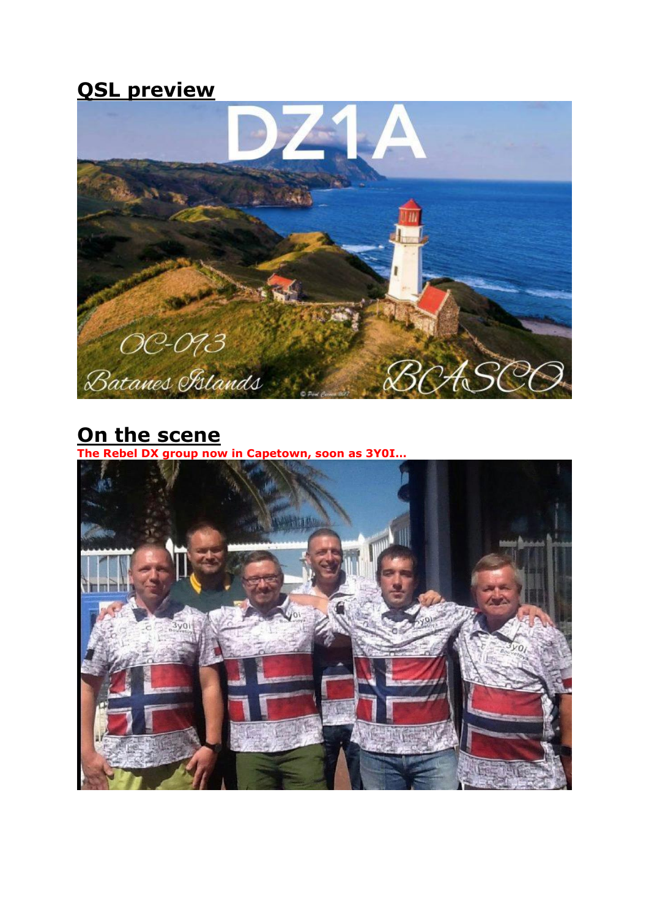# **QSL preview**



# **On the scene**

**The Rebel DX group now in Capetown, soon as 3Y0I…**

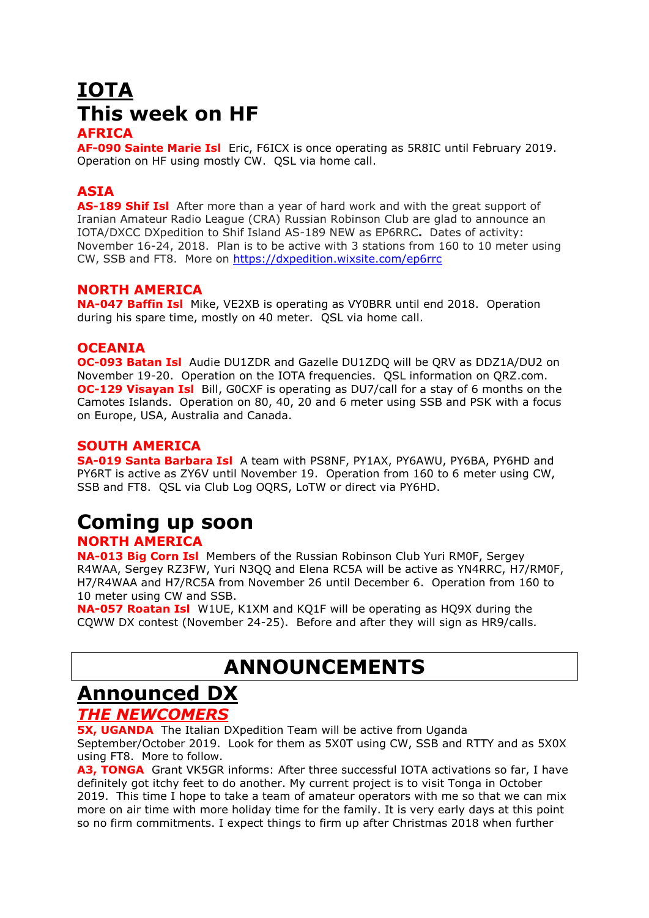# **IOTA This week on HF**

### **AFRICA**

**AF-090 Sainte Marie Isl** Eric, F6ICX is once operating as 5R8IC until February 2019. Operation on HF using mostly CW. QSL via home call.

# **ASIA**

**AS-189 Shif Isl** After more than a year of hard work and with the great support of Iranian Amateur Radio League (CRA) Russian Robinson Club are glad to announce an IOTA/DXCC DXpedition to Shif Island AS-189 NEW as EP6RRC**.** Dates of activity: November 16-24, 2018. Plan is to be active with 3 stations from 160 to 10 meter using CW, SSB and FT8. More on<https://dxpedition.wixsite.com/ep6rrc>

### **NORTH AMERICA**

**NA-047 Baffin Isl** Mike, VE2XB is operating as VY0BRR until end 2018. Operation during his spare time, mostly on 40 meter. QSL via home call.

### **OCEANIA**

**OC-093 Batan Isl** Audie DU1ZDR and Gazelle DU1ZDQ will be QRV as DDZ1A/DU2 on November 19-20. Operation on the IOTA frequencies. QSL information on QRZ.com. **OC-129 Visayan Isl** Bill, G0CXF is operating as DU7/call for a stay of 6 months on the Camotes Islands. Operation on 80, 40, 20 and 6 meter using SSB and PSK with a focus on Europe, USA, Australia and Canada.

### **SOUTH AMERICA**

**SA-019 Santa Barbara Isl** A team with PS8NF, PY1AX, PY6AWU, PY6BA, PY6HD and PY6RT is active as ZY6V until November 19. Operation from 160 to 6 meter using CW, SSB and FT8. QSL via Club Log OQRS, LoTW or direct via PY6HD.

# **Coming up soon**

### **NORTH AMERICA NA-013 Big Corn Isl** Members of the Russian Robinson Club Yuri RM0F, Sergey

R4WAA, Sergey RZ3FW, Yuri N3QQ and Elena RC5A will be active as YN4RRC, H7/RM0F, H7/R4WAA and H7/RC5A from November 26 until December 6. Operation from 160 to 10 meter using CW and SSB.

**NA-057 Roatan Isl** W1UE, K1XM and KQ1F will be operating as HQ9X during the CQWW DX contest (November 24-25). Before and after they will sign as HR9/calls.

# **ANNOUNCEMENTS**

# **Announced DX**

# *THE NEWCOMERS*

**5X, UGANDA** The Italian DXpedition Team will be active from Uganda September/October 2019. Look for them as 5X0T using CW, SSB and RTTY and as 5X0X using FT8. More to follow.

**A3, TONGA** Grant VK5GR informs: After three successful IOTA activations so far, I have definitely got itchy feet to do another. My current project is to visit Tonga in October 2019. This time I hope to take a team of amateur operators with me so that we can mix more on air time with more holiday time for the family. It is very early days at this point so no firm commitments. I expect things to firm up after Christmas 2018 when further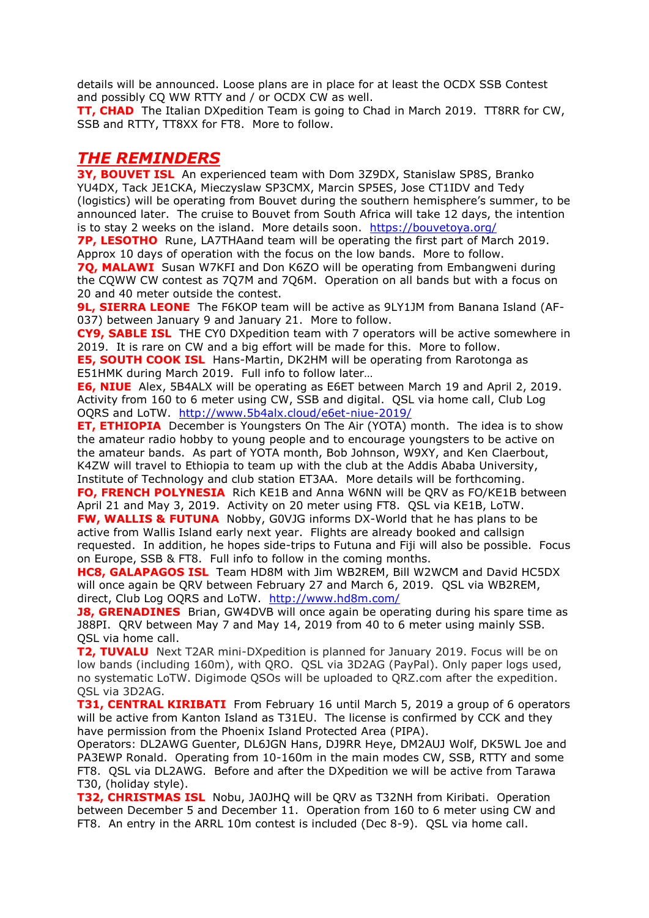details will be announced. Loose plans are in place for at least the OCDX SSB Contest and possibly CQ WW RTTY and / or OCDX CW as well.

**TT, CHAD** The Italian DXpedition Team is going to Chad in March 2019. TT8RR for CW, SSB and RTTY, TT8XX for FT8. More to follow.

# *THE REMINDERS*

**3Y, BOUVET ISL** An experienced team with Dom 3Z9DX, Stanislaw SP8S, Branko YU4DX, Tack JE1CKA, Mieczyslaw SP3CMX, Marcin SP5ES, Jose CT1IDV and Tedy (logistics) will be operating from Bouvet during the southern hemisphere's summer, to be announced later. The cruise to Bouvet from South Africa will take 12 days, the intention is to stay 2 weeks on the island. More details soon. <https://bouvetoya.org/>

**7P, LESOTHO** Rune, LA7THAand team will be operating the first part of March 2019. Approx 10 days of operation with the focus on the low bands. More to follow.

**7Q, MALAWI** Susan W7KFI and Don K6ZO will be operating from Embangweni during the CQWW CW contest as 7Q7M and 7Q6M. Operation on all bands but with a focus on 20 and 40 meter outside the contest.

**9L, SIERRA LEONE** The F6KOP team will be active as 9LY1JM from Banana Island (AF-037) between January 9 and January 21. More to follow.

**CY9, SABLE ISL** THE CY0 DXpedition team with 7 operators will be active somewhere in 2019. It is rare on CW and a big effort will be made for this. More to follow.

**E5, SOUTH COOK ISL** Hans-Martin, DK2HM will be operating from Rarotonga as E51HMK during March 2019. Full info to follow later…

**E6, NIUE** Alex, 5B4ALX will be operating as E6ET between March 19 and April 2, 2019. Activity from 160 to 6 meter using CW, SSB and digital. QSL via home call, Club Log OQRS and LoTW. <http://www.5b4alx.cloud/e6et-niue-2019/>

**ET, ETHIOPIA** December is Youngsters On The Air [\(YOTA\)](https://www.ham-yota.com/december-yota-month-application-is-open/) month. The idea is to show the amateur radio hobby to young people and to encourage youngsters to be active on the amateur bands. As part of YOTA month, Bob Johnson, W9XY, and Ken Claerbout, K4ZW will travel to Ethiopia to team up with the club at the Addis Ababa University, Institute of Technology and club station ET3AA. More details will be forthcoming.

**FO, FRENCH POLYNESIA** Rich KE1B and Anna W6NN will be QRV as FO/KE1B between April 21 and May 3, 2019. Activity on 20 meter using FT8. QSL via KE1B, LoTW.

**FW, WALLIS & FUTUNA** Nobby, G0VJG informs DX-World that he has plans to be active from Wallis Island early next year. Flights are already booked and callsign requested. In addition, he hopes side-trips to Futuna and Fiji will also be possible. Focus on Europe, SSB & FT8. Full info to follow in the coming months.

**HC8, GALAPAGOS ISL** Team HD8M with Jim WB2REM, Bill W2WCM and David HC5DX will once again be QRV between February 27 and March 6, 2019. QSL via WB2REM, direct, Club Log OQRS and LoTW. <http://www.hd8m.com/>

**J8, GRENADINES** Brian, GW4DVB will once again be operating during his spare time as J88PI. QRV between May 7 and May 14, 2019 from 40 to 6 meter using mainly SSB. QSL via home call.

**T2, TUVALU** Next T2AR mini-DXpedition is planned for January 2019. Focus will be on low bands (including 160m), with QRO. QSL via 3D2AG (PayPal). Only paper logs used, no systematic LoTW. Digimode QSOs will be uploaded to QRZ.com after the expedition. QSL via 3D2AG.

**T31, CENTRAL KIRIBATI** From February 16 until March 5, 2019 a group of 6 operators will be active from Kanton Island as T31EU. The license is confirmed by CCK and they have permission from the Phoenix Island Protected Area (PIPA).

Operators: DL2AWG Guenter, DL6JGN Hans, DJ9RR Heye, DM2AUJ Wolf, DK5WL Joe and PA3EWP Ronald. Operating from 10-160m in the main modes CW, SSB, RTTY and some FT8. QSL via DL2AWG. Before and after the DXpedition we will be active from Tarawa T30, (holiday style).

**T32, CHRISTMAS ISL** Nobu, JA0JHQ will be QRV as T32NH from Kiribati. Operation between December 5 and December 11. Operation from 160 to 6 meter using CW and FT8. An entry in the ARRL 10m contest is included (Dec 8-9). QSL via home call.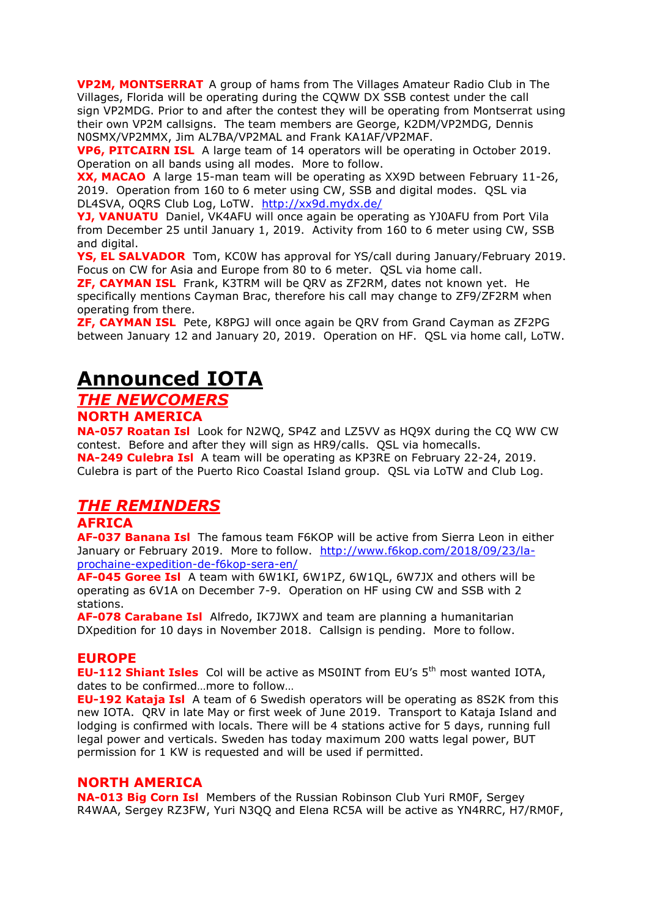**VP2M, MONTSERRAT** A group of hams from The Villages Amateur Radio Club in The Villages, Florida will be operating during the CQWW DX SSB contest under the call sign VP2MDG. Prior to and after the contest they will be operating from Montserrat using their own VP2M callsigns. The team members are George, K2DM/VP2MDG, Dennis N0SMX/VP2MMX, Jim AL7BA/VP2MAL and Frank KA1AF/VP2MAF.

**VP6, PITCAIRN ISL** A large team of 14 operators will be operating in October 2019. Operation on all bands using all modes. More to follow.

**XX, MACAO** A large 15-man team will be operating as XX9D between February 11-26, 2019. Operation from 160 to 6 meter using CW, SSB and digital modes. QSL via DL4SVA, OQRS Club Log, LoTW. <http://xx9d.mydx.de/>

**YJ, VANUATU** Daniel, VK4AFU will once again be operating as YJ0AFU from Port Vila from December 25 until January 1, 2019. Activity from 160 to 6 meter using CW, SSB and digital.

**YS, EL SALVADOR** Tom, KC0W has approval for YS/call during January/February 2019. Focus on CW for Asia and Europe from 80 to 6 meter. QSL via home call.

**ZF, CAYMAN ISL** Frank, K3TRM will be QRV as ZF2RM, dates not known yet. He specifically mentions Cayman Brac, therefore his call may change to ZF9/ZF2RM when operating from there.

**ZF, CAYMAN ISL** Pete, K8PGJ will once again be QRV from Grand Cayman as ZF2PG between January 12 and January 20, 2019. Operation on HF. QSL via home call, LoTW.

# **Announced IOTA**

# *THE NEWCOMERS*

**NORTH AMERICA**

**NA-057 Roatan Isl** Look for N2WQ, SP4Z and LZ5VV as HQ9X during the CQ WW CW contest. Before and after they will sign as HR9/calls. QSL via homecalls. **NA-249 Culebra Isl** A team will be operating as KP3RE on February 22-24, 2019. Culebra is part of the Puerto Rico Coastal Island group. QSL via LoTW and Club Log.

# *THE REMINDERS*

# **AFRICA**

**AF-037 Banana Isl** The famous team F6KOP will be active from Sierra Leon in either January or February 2019. More to follow. [http://www.f6kop.com/2018/09/23/la](http://www.f6kop.com/2018/09/23/la-prochaine-expedition-de-f6kop-sera-en/)[prochaine-expedition-de-f6kop-sera-en/](http://www.f6kop.com/2018/09/23/la-prochaine-expedition-de-f6kop-sera-en/)

**AF-045 Goree Isl** A team with 6W1KI, 6W1PZ, 6W1QL, 6W7JX and others will be operating as 6V1A on December 7-9. Operation on HF using CW and SSB with 2 stations.

**AF-078 Carabane Isl** Alfredo, IK7JWX and team are planning a humanitarian DXpedition for 10 days in November 2018. Callsign is pending. More to follow.

### **EUROPE**

**EU-112 Shiant Isles** Col will be active as MS0INT from EU's 5<sup>th</sup> most wanted IOTA, dates to be confirmed…more to follow…

**EU-192 Kataja Isl** A team of 6 Swedish operators will be operating as 8S2K from this new IOTA. QRV in late May or first week of June 2019. Transport to Kataja Island and lodging is confirmed with locals. There will be 4 stations active for 5 days, running full legal power and verticals. Sweden has today maximum 200 watts legal power, BUT permission for 1 KW is requested and will be used if permitted.

### **NORTH AMERICA**

**NA-013 Big Corn Isl** Members of the Russian Robinson Club Yuri RM0F, Sergey R4WAA, Sergey RZ3FW, Yuri N3QQ and Elena RC5A will be active as YN4RRC, H7/RM0F,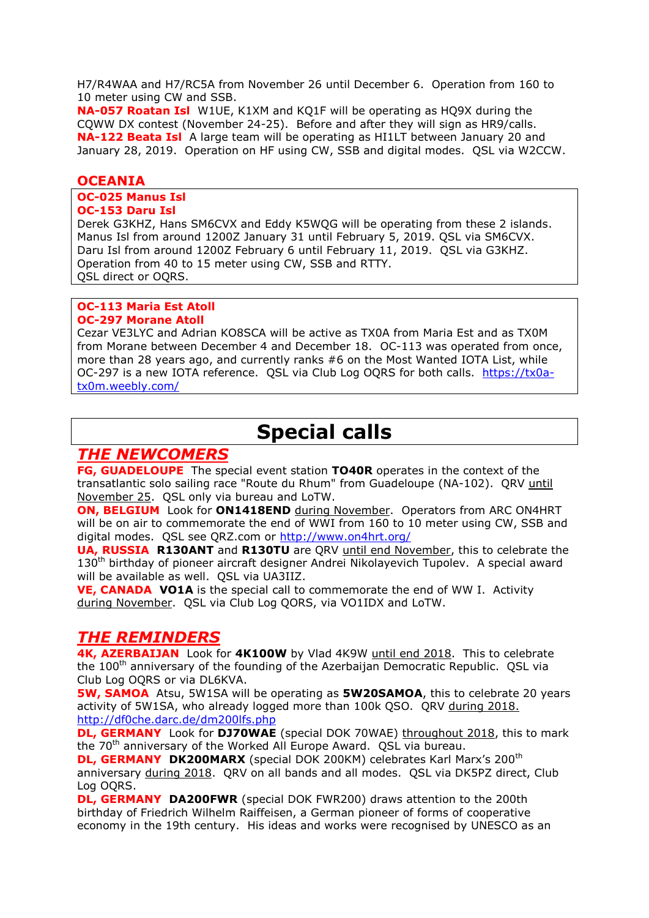H7/R4WAA and H7/RC5A from November 26 until December 6. Operation from 160 to 10 meter using CW and SSB.

**NA-057 Roatan Isl** W1UE, K1XM and KQ1F will be operating as HQ9X during the CQWW DX contest (November 24-25). Before and after they will sign as HR9/calls. **NA-122 Beata Isl** A large team will be operating as HI1LT between January 20 and January 28, 2019. Operation on HF using CW, SSB and digital modes. QSL via W2CCW.

### **OCEANIA**

**OC-025 Manus Isl OC-153 Daru Isl**

Derek G3KHZ, Hans SM6CVX and Eddy K5WQG will be operating from these 2 islands. Manus Isl from around 1200Z January 31 until February 5, 2019. QSL via SM6CVX. Daru Isl from around 1200Z February 6 until February 11, 2019. QSL via G3KHZ. Operation from 40 to 15 meter using CW, SSB and RTTY. QSL direct or OQRS.

### **OC-113 Maria Est Atoll OC-297 Morane Atoll**

Cezar VE3LYC and Adrian KO8SCA will be active as TX0A from Maria Est and as TX0M from Morane between December 4 and December 18. OC-113 was operated from once, more than 28 years ago, and currently ranks #6 on the Most Wanted IOTA List, while OC-297 is a new IOTA reference. QSL via Club Log OQRS for both calls. [https://tx0a](https://tx0a-tx0m.weebly.com/)[tx0m.weebly.com/](https://tx0a-tx0m.weebly.com/)

# **Special calls**

# *THE NEWCOMERS*

**FG, GUADELOUPE** The special event station **TO40R** operates in the context of the transatlantic solo sailing race "Route du Rhum" from Guadeloupe (NA-102). QRV until November 25. QSL only via bureau and LoTW.

**ON, BELGIUM** Look for **ON1418END** during November. Operators from ARC ON4HRT will be on air to commemorate the end of WWI from 160 to 10 meter using CW, SSB and digital modes. QSL see QRZ.com or<http://www.on4hrt.org/>

**UA, RUSSIA R130ANT** and **R130TU** are QRV until end November, this to celebrate the  $130<sup>th</sup>$  birthday of pioneer aircraft designer Andrei Nikolayevich Tupolev. A special award will be available as well. QSL via UA3IIZ.

**VE, CANADA VO1A** is the special call to commemorate the end of WW I. Activity during November. QSL via Club Log QORS, via VO1IDX and LoTW.

# *THE REMINDERS*

**4K, AZERBAIJAN** Look for **4K100W** by Vlad 4K9W until end 2018. This to celebrate the 100<sup>th</sup> anniversary of the founding of the Azerbaijan Democratic Republic. QSL via Club Log OQRS or via DL6KVA.

**5W, SAMOA** Atsu, 5W1SA will be operating as **5W20SAMOA**, this to celebrate 20 years activity of 5W1SA, who already logged more than 100k QSO. QRV during 2018. <http://df0che.darc.de/dm200lfs.php>

**DL, GERMANY** Look for **DJ70WAE** (special DOK 70WAE) throughout 2018, this to mark the 70<sup>th</sup> anniversary of the Worked All Europe Award. OSL via bureau.

**DL, GERMANY DK200MARX** (special DOK 200KM) celebrates Karl Marx's 200<sup>th</sup> anniversary during 2018. QRV on all bands and all modes. QSL via DK5PZ direct, Club Log OQRS.

**DL, GERMANY DA200FWR** (special DOK FWR200) draws attention to the 200th birthday of Friedrich Wilhelm Raiffeisen, a German pioneer of forms of cooperative economy in the 19th century. His ideas and works were recognised by UNESCO as an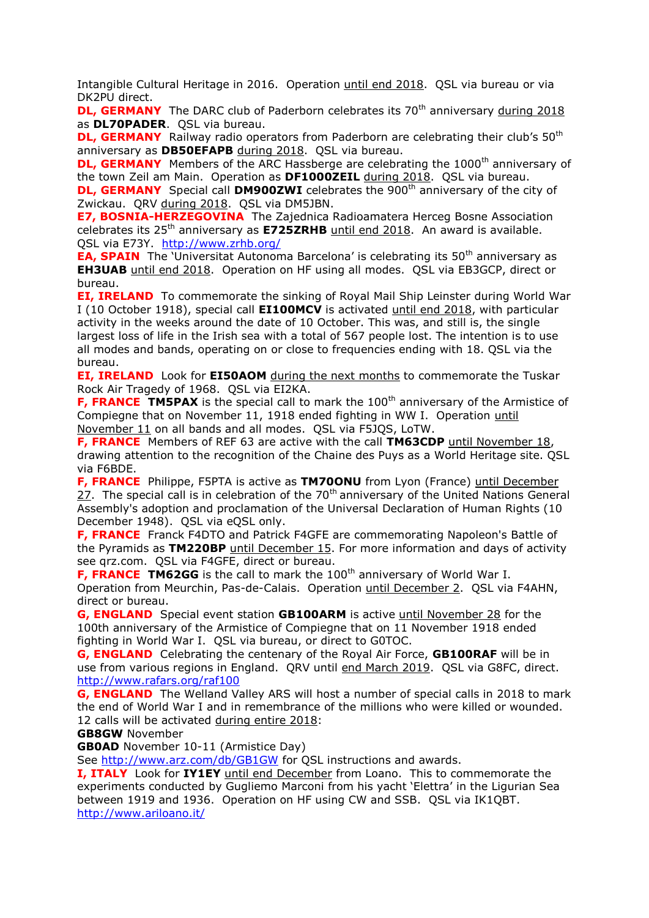Intangible Cultural Heritage in 2016. Operation until end 2018. QSL via bureau or via DK2PU direct.

**DL, GERMANY** The DARC club of Paderborn celebrates its 70<sup>th</sup> anniversary during 2018 as **DL70PADER**. QSL via bureau.

**DL, GERMANY** Railway radio operators from Paderborn are celebrating their club's 50<sup>th</sup> anniversary as **DB50EFAPB** during 2018. QSL via bureau.

**DL, GERMANY** Members of the ARC Hassberge are celebrating the 1000<sup>th</sup> anniversary of the town Zeil am Main. Operation as **DF1000ZEIL** during 2018. QSL via bureau.

**DL, GERMANY** Special call **DM900ZWI** celebrates the 900<sup>th</sup> anniversary of the city of Zwickau. QRV during 2018. QSL via DM5JBN.

**E7, BOSNIA-HERZEGOVINA** The Zajednica Radioamatera Herceg Bosne Association celebrates its 25<sup>th</sup> anniversary as **E725ZRHB** until end 2018. An award is available. OSL via E73Y. <http://www.zrhb.org/>

**EA, SPAIN** The 'Universitat Autonoma Barcelona' is celebrating its 50<sup>th</sup> anniversary as **EH3UAB** until end 2018. Operation on HF using all modes. QSL via EB3GCP, direct or bureau.

**EI, IRELAND** To commemorate the sinking of Royal Mail Ship Leinster during World War I (10 October 1918), special call **EI100MCV** is activated until end 2018, with particular activity in the weeks around the date of 10 October. This was, and still is, the single largest loss of life in the Irish sea with a total of 567 people lost. The intention is to use all modes and bands, operating on or close to frequencies ending with 18. QSL via the bureau.

**EI, IRELAND** Look for **EI50AOM** during the next months to commemorate the Tuskar Rock Air Tragedy of 1968. QSL via EI2KA.

**F, FRANCE TM5PAX** is the special call to mark the 100<sup>th</sup> anniversary of the Armistice of Compiegne that on November 11, 1918 ended fighting in WW I. Operation until November 11 on all bands and all modes. QSL via F5JQS, LoTW.

**F, FRANCE** Members of REF 63 are active with the call **TM63CDP** until November 18, drawing attention to the recognition of the Chaine des Puys as a World Heritage site. QSL via F6BDE.

**F, FRANCE** Philippe, F5PTA is active as **TM70ONU** from Lyon (France) until December  $27.$  The special call is in celebration of the 70<sup>th</sup> anniversary of the United Nations General Assembly's adoption and proclamation of the Universal Declaration of Human Rights (10 December 1948). QSL via eQSL only.

**F, FRANCE** Franck F4DTO and Patrick F4GFE are commemorating Napoleon's Battle of the Pyramids as **TM220BP** until December 15. For more information and days of activity see qrz.com. QSL via F4GFE, direct or bureau.

**F, FRANCE TM62GG** is the call to mark the 100<sup>th</sup> anniversary of World War I. Operation from Meurchin, Pas-de-Calais. Operation until December 2. QSL via F4AHN, direct or bureau.

**G, ENGLAND** Special event station **GB100ARM** is active until November 28 for the 100th anniversary of the Armistice of Compiegne that on 11 November 1918 ended fighting in World War I. QSL via bureau, or direct to G0TOC.

**G, ENGLAND** Celebrating the centenary of the Royal Air Force, **GB100RAF** will be in use from various regions in England. QRV until end March 2019. QSL via G8FC, direct. <http://www.rafars.org/raf100>

**G, ENGLAND** The Welland Valley ARS will host a number of special calls in 2018 to mark the end of World War I and in remembrance of the millions who were killed or wounded. 12 calls will be activated during entire 2018:

**GB8GW** November

**GB0AD** November 10-11 (Armistice Day)

See<http://www.arz.com/db/GB1GW> for QSL instructions and awards.

**I, ITALY** Look for **IY1EY** until end December from Loano. This to commemorate the experiments conducted by Gugliemo Marconi from his yacht 'Elettra' in the Ligurian Sea between 1919 and 1936. Operation on HF using CW and SSB. QSL via IK1QBT. <http://www.ariloano.it/>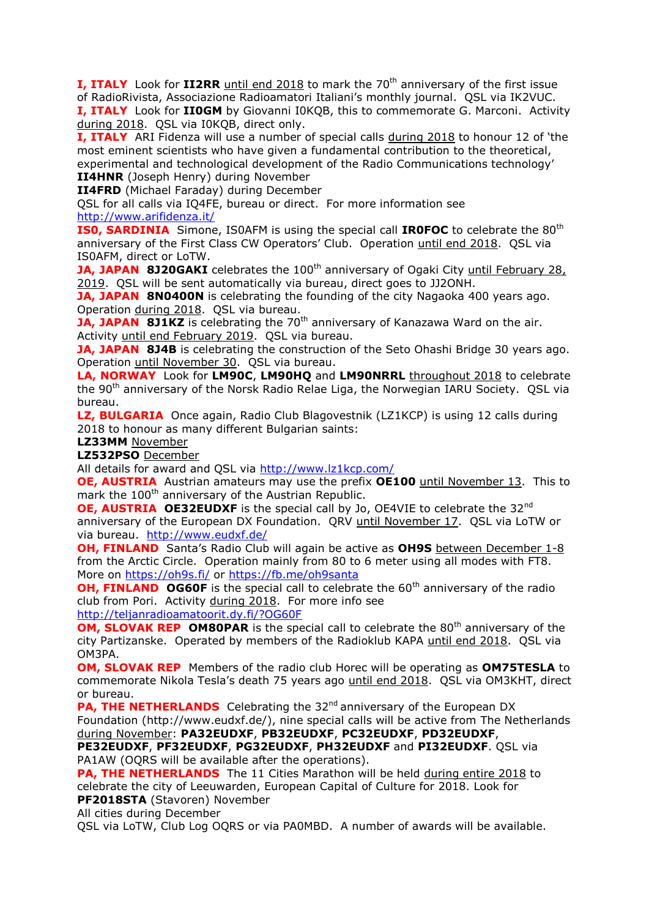**I, ITALY** Look for **II2RR** until end 2018 to mark the 70<sup>th</sup> anniversary of the first issue of RadioRivista, Associazione Radioamatori Italiani's monthly journal. QSL via IK2VUC. **I, ITALY** Look for **II0GM** by Giovanni I0KQB, this to commemorate G. Marconi. Activity during 2018. QSL via I0KQB, direct only.

**I, ITALY** ARI Fidenza will use a number of special calls during 2018 to honour 12 of 'the most eminent scientists who have given a fundamental contribution to the theoretical, experimental and technological development of the Radio Communications technology' **II4HNR** (Joseph Henry) during November

**II4FRD** (Michael Faraday) during December

QSL for all calls via IQ4FE, bureau or direct. For more information see <http://www.arifidenza.it/>

**ISO, SARDINIA** Simone, ISOAFM is using the special call **IROFOC** to celebrate the 80<sup>th</sup> anniversary of the First Class CW Operators' Club. Operation until end 2018. QSL via IS0AFM, direct or LoTW.

**JA, JAPAN 8J20GAKI** celebrates the 100<sup>th</sup> anniversary of Ogaki City until February 28, 2019. QSL will be sent automatically via bureau, direct goes to JJ2ONH.

**JA, JAPAN 8N0400N** is celebrating the founding of the city Nagaoka 400 years ago. Operation during 2018. QSL via bureau.

JA, JAPAN 8J1KZ is celebrating the 70<sup>th</sup> anniversary of Kanazawa Ward on the air. Activity until end February 2019. QSL via bureau.

**JA, JAPAN 8J4B** is celebrating the construction of the Seto Ohashi Bridge 30 years ago. Operation until November 30. QSL via bureau.

**LA, NORWAY** Look for **LM90C**, **LM90HQ** and **LM90NRRL** throughout 2018 to celebrate the 90<sup>th</sup> anniversary of the Norsk Radio Relae Liga, the Norwegian IARU Society. OSL via bureau.

**LZ, BULGARIA** Once again, Radio Club Blagovestnik (LZ1KCP) is using 12 calls during 2018 to honour as many different Bulgarian saints:

**LZ33MM** November

**LZ532PSO** December

All details for award and QSL via<http://www.lz1kcp.com/>

**OE, AUSTRIA** Austrian amateurs may use the prefix **OE100** until November 13. This to mark the 100<sup>th</sup> anniversary of the Austrian Republic.

**OE, AUSTRIA OE32EUDXF** is the special call by Jo, OE4VIE to celebrate the 32<sup>nd</sup> anniversary of the European DX Foundation. QRV until November 17. QSL via LoTW or via bureau. <http://www.eudxf.de/>

**OH, FINLAND** Santa's Radio Club will again be active as **OH9S** between December 1-8 from the Arctic Circle. Operation mainly from 80 to 6 meter using all modes with FT8. More on<https://oh9s.fi/> or<https://fb.me/oh9santa>

**OH, FINLAND OG60F** is the special call to celebrate the 60<sup>th</sup> anniversary of the radio club from Pori. Activity during 2018. For more info see

<http://teljanradioamatoorit.dy.fi/?OG60F>

**OM, SLOVAK REP OM80PAR** is the special call to celebrate the 80<sup>th</sup> anniversary of the city Partizanske. Operated by members of the Radioklub KAPA until end 2018. QSL via OM3PA.

**OM, SLOVAK REP** Members of the radio club Horec will be operating as **OM75TESLA** to commemorate Nikola Tesla's death 75 years ago until end 2018. QSL via OM3KHT, direct or bureau.

**PA, THE NETHERLANDS** Celebrating the 32<sup>nd</sup> anniversary of the European DX Foundation (http://www.eudxf.de/), nine special calls will be active from The Netherlands during November: **PA32EUDXF**, **PB32EUDXF**, **PC32EUDXF**, **PD32EUDXF**,

**PE32EUDXF**, **PF32EUDXF**, **PG32EUDXF**, **PH32EUDXF** and **PI32EUDXF**. QSL via PA1AW (OQRS will be available after the operations).

**PA, THE NETHERLANDS** The 11 Cities Marathon will be held during entire 2018 to celebrate the city of Leeuwarden, European Capital of Culture for 2018. Look for **PF2018STA** (Stavoren) November

All cities during December

QSL via LoTW, Club Log OQRS or via PA0MBD. A number of awards will be available.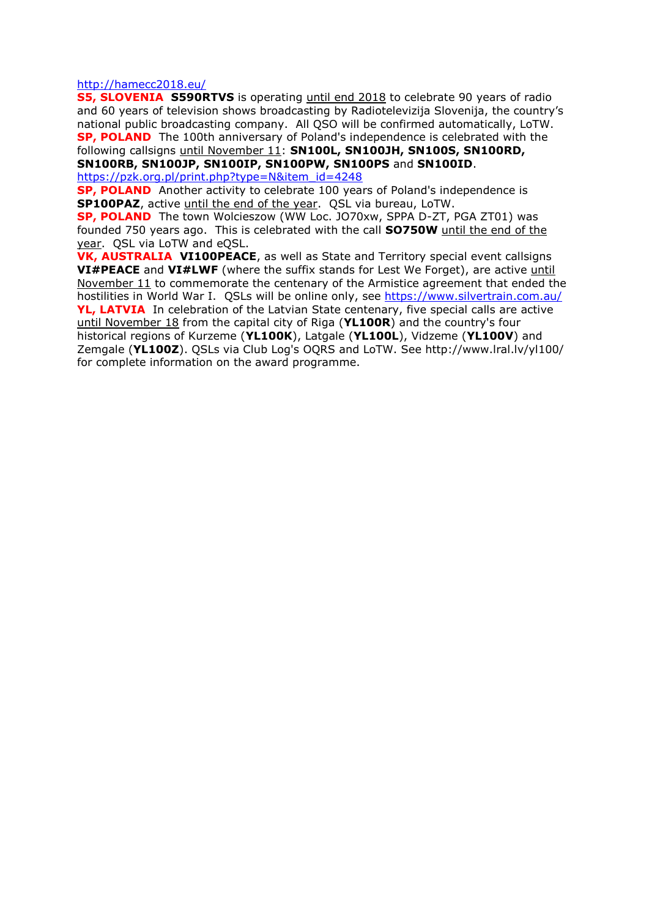<http://hamecc2018.eu/>

**S5, SLOVENIA S590RTVS** is operating until end 2018 to celebrate 90 years of radio and 60 years of television shows broadcasting by Radiotelevizija Slovenija, the country's national public broadcasting company. All QSO will be confirmed automatically, LoTW. **SP, POLAND** The 100th anniversary of Poland's independence is celebrated with the following callsigns until November 11: **SN100L, SN100JH, SN100S, SN100RD, SN100RB, SN100JP, SN100IP, SN100PW, SN100PS** and **SN100ID**.

[https://pzk.org.pl/print.php?type=N&item\\_id=4248](https://pzk.org.pl/print.php?type=N&item_id=4248)

**SP, POLAND** Another activity to celebrate 100 years of Poland's independence is **SP100PAZ**, active until the end of the year. QSL via bureau, LoTW.

**SP, POLAND** The town Wolcieszow (WW Loc. JO70xw, SPPA D-ZT, PGA ZT01) was founded 750 years ago. This is celebrated with the call **SO750W** until the end of the year. QSL via LoTW and eQSL.

**VK, AUSTRALIA VI100PEACE**, as well as State and Territory special event callsigns **VI#PEACE** and **VI#LWF** (where the suffix stands for Lest We Forget), are active until November 11 to commemorate the centenary of the Armistice agreement that ended the hostilities in World War I. OSLs will be online only, see<https://www.silvertrain.com.au/> **YL, LATVIA** In celebration of the Latvian State centenary, five special calls are active until November 18 from the capital city of Riga (**YL100R**) and the country's four historical regions of Kurzeme (**YL100K**), Latgale (**YL100L**), Vidzeme (**YL100V**) and Zemgale (**YL100Z**). QSLs via Club Log's OQRS and LoTW. See http://www.lral.lv/yl100/ for complete information on the award programme.